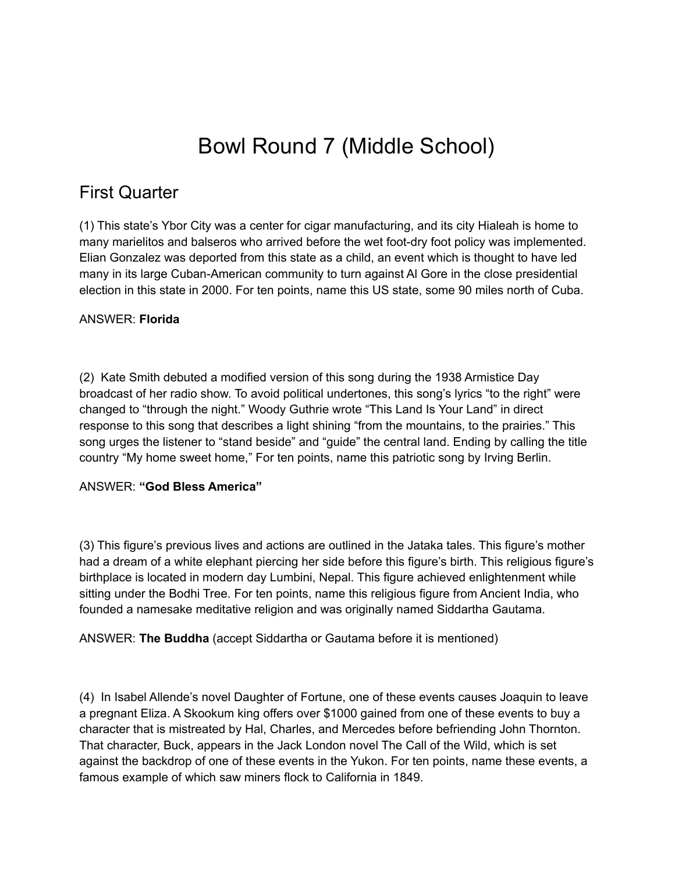# Bowl Round 7 (Middle School)

# First Quarter

(1) This state's Ybor City was a center for cigar manufacturing, and its city Hialeah is home to many marielitos and balseros who arrived before the wet foot-dry foot policy was implemented. Elian Gonzalez was deported from this state as a child, an event which is thought to have led many in its large Cuban-American community to turn against Al Gore in the close presidential election in this state in 2000. For ten points, name this US state, some 90 miles north of Cuba.

#### ANSWER: **Florida**

(2) Kate Smith debuted a modified version of this song during the 1938 Armistice Day broadcast of her radio show. To avoid political undertones, this song's lyrics "to the right" were changed to "through the night." Woody Guthrie wrote "This Land Is Your Land" in direct response to this song that describes a light shining "from the mountains, to the prairies." This song urges the listener to "stand beside" and "guide" the central land. Ending by calling the title country "My home sweet home," For ten points, name this patriotic song by Irving Berlin.

#### ANSWER: **"God Bless America"**

(3) This figure's previous lives and actions are outlined in the Jataka tales. This figure's mother had a dream of a white elephant piercing her side before this figure's birth. This religious figure's birthplace is located in modern day Lumbini, Nepal. This figure achieved enlightenment while sitting under the Bodhi Tree. For ten points, name this religious figure from Ancient India, who founded a namesake meditative religion and was originally named Siddartha Gautama.

ANSWER: **The Buddha** (accept Siddartha or Gautama before it is mentioned)

(4) In Isabel Allende's novel Daughter of Fortune, one of these events causes Joaquin to leave a pregnant Eliza. A Skookum king offers over \$1000 gained from one of these events to buy a character that is mistreated by Hal, Charles, and Mercedes before befriending John Thornton. That character, Buck, appears in the Jack London novel The Call of the Wild, which is set against the backdrop of one of these events in the Yukon. For ten points, name these events, a famous example of which saw miners flock to California in 1849.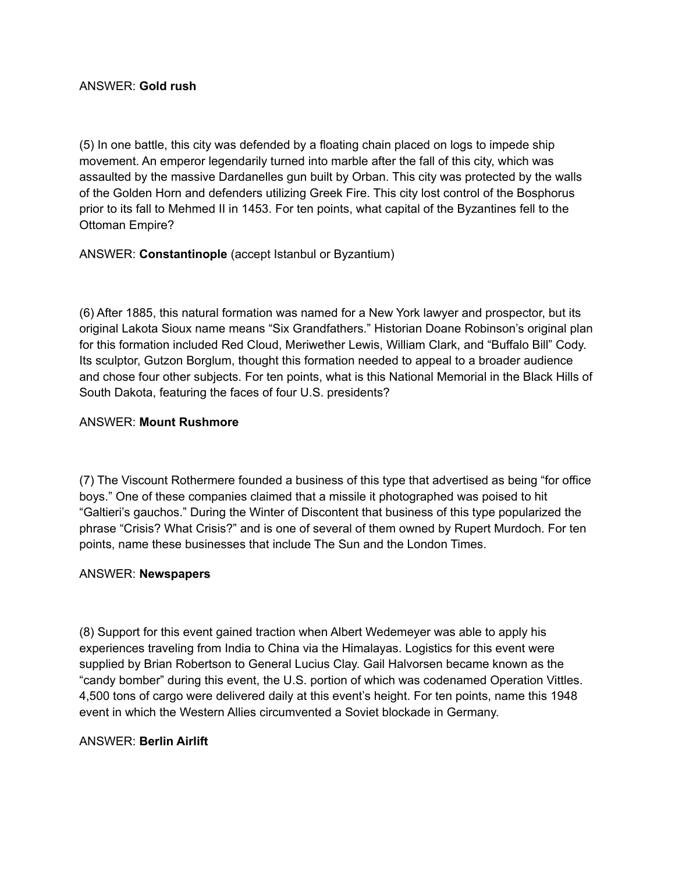(5) In one battle, this city was defended by a floating chain placed on logs to impede ship movement. An emperor legendarily turned into marble after the fall of this city, which was assaulted by the massive Dardanelles gun built by Orban. This city was protected by the walls of the Golden Horn and defenders utilizing Greek Fire. This city lost control of the Bosphorus prior to its fall to Mehmed II in 1453. For ten points, what capital of the Byzantines fell to the Ottoman Empire?

ANSWER: **Constantinople** (accept Istanbul or Byzantium)

(6) After 1885, this natural formation was named for a New York lawyer and prospector, but its original Lakota Sioux name means "Six Grandfathers." Historian Doane Robinson's original plan for this formation included Red Cloud, Meriwether Lewis, William Clark, and "Buffalo Bill" Cody. Its sculptor, Gutzon Borglum, thought this formation needed to appeal to a broader audience and chose four other subjects. For ten points, what is this National Memorial in the Black Hills of South Dakota, featuring the faces of four U.S. presidents?

#### ANSWER: **Mount Rushmore**

(7) The Viscount Rothermere founded a business of this type that advertised as being "for office boys." One of these companies claimed that a missile it photographed was poised to hit "Galtieri's gauchos." During the Winter of Discontent that business of this type popularized the phrase "Crisis? What Crisis?" and is one of several of them owned by Rupert Murdoch. For ten points, name these businesses that include The Sun and the London Times.

#### ANSWER: **Newspapers**

(8) Support for this event gained traction when Albert Wedemeyer was able to apply his experiences traveling from India to China via the Himalayas. Logistics for this event were supplied by Brian Robertson to General Lucius Clay. Gail Halvorsen became known as the "candy bomber" during this event, the U.S. portion of which was codenamed Operation Vittles. 4,500 tons of cargo were delivered daily at this event's height. For ten points, name this 1948 event in which the Western Allies circumvented a Soviet blockade in Germany.

#### ANSWER: **Berlin Airlift**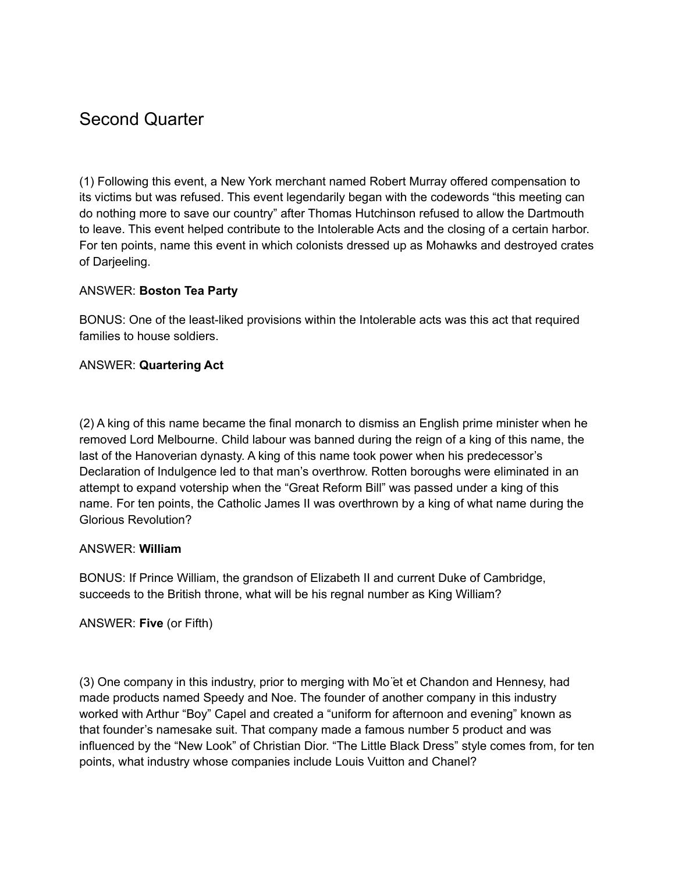# Second Quarter

(1) Following this event, a New York merchant named Robert Murray offered compensation to its victims but was refused. This event legendarily began with the codewords "this meeting can do nothing more to save our country" after Thomas Hutchinson refused to allow the Dartmouth to leave. This event helped contribute to the Intolerable Acts and the closing of a certain harbor. For ten points, name this event in which colonists dressed up as Mohawks and destroyed crates of Darjeeling.

#### ANSWER: **Boston Tea Party**

BONUS: One of the least-liked provisions within the Intolerable acts was this act that required families to house soldiers.

#### ANSWER: **Quartering Act**

(2) A king of this name became the final monarch to dismiss an English prime minister when he removed Lord Melbourne. Child labour was banned during the reign of a king of this name, the last of the Hanoverian dynasty. A king of this name took power when his predecessor's Declaration of Indulgence led to that man's overthrow. Rotten boroughs were eliminated in an attempt to expand votership when the "Great Reform Bill" was passed under a king of this name. For ten points, the Catholic James II was overthrown by a king of what name during the Glorious Revolution?

#### ANSWER: **William**

BONUS: If Prince William, the grandson of Elizabeth II and current Duke of Cambridge, succeeds to the British throne, what will be his regnal number as King William?

ANSWER: **Five** (or Fifth)

(3) One company in this industry, prior to merging with Mo ̈et et Chandon and Hennesy, had made products named Speedy and Noe. The founder of another company in this industry worked with Arthur "Boy" Capel and created a "uniform for afternoon and evening" known as that founder's namesake suit. That company made a famous number 5 product and was influenced by the "New Look" of Christian Dior. "The Little Black Dress" style comes from, for ten points, what industry whose companies include Louis Vuitton and Chanel?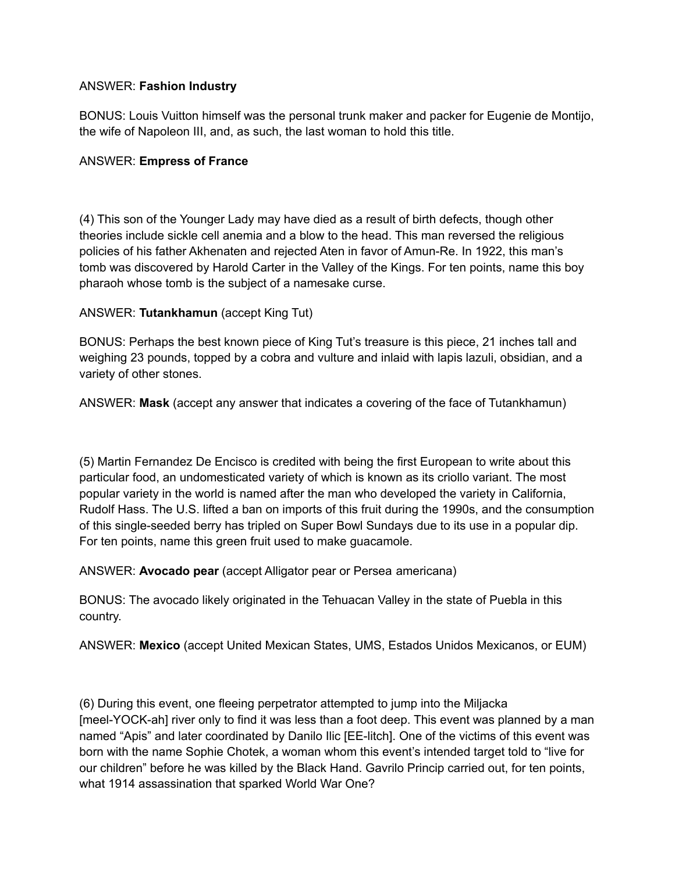### ANSWER: **Fashion Industry**

BONUS: Louis Vuitton himself was the personal trunk maker and packer for Eugenie de Montijo, the wife of Napoleon III, and, as such, the last woman to hold this title.

#### ANSWER: **Empress of France**

(4) This son of the Younger Lady may have died as a result of birth defects, though other theories include sickle cell anemia and a blow to the head. This man reversed the religious policies of his father Akhenaten and rejected Aten in favor of Amun-Re. In 1922, this man's tomb was discovered by Harold Carter in the Valley of the Kings. For ten points, name this boy pharaoh whose tomb is the subject of a namesake curse.

#### ANSWER: **Tutankhamun** (accept King Tut)

BONUS: Perhaps the best known piece of King Tut's treasure is this piece, 21 inches tall and weighing 23 pounds, topped by a cobra and vulture and inlaid with lapis lazuli, obsidian, and a variety of other stones.

ANSWER: **Mask** (accept any answer that indicates a covering of the face of Tutankhamun)

(5) Martin Fernandez De Encisco is credited with being the first European to write about this particular food, an undomesticated variety of which is known as its criollo variant. The most popular variety in the world is named after the man who developed the variety in California, Rudolf Hass. The U.S. lifted a ban on imports of this fruit during the 1990s, and the consumption of this single-seeded berry has tripled on Super Bowl Sundays due to its use in a popular dip. For ten points, name this green fruit used to make guacamole.

ANSWER: **Avocado pear** (accept Alligator pear or Persea americana)

BONUS: The avocado likely originated in the Tehuacan Valley in the state of Puebla in this country.

ANSWER: **Mexico** (accept United Mexican States, UMS, Estados Unidos Mexicanos, or EUM)

(6) During this event, one fleeing perpetrator attempted to jump into the Miljacka [meel-YOCK-ah] river only to find it was less than a foot deep. This event was planned by a man named "Apis" and later coordinated by Danilo Ilic [EE-litch]. One of the victims of this event was born with the name Sophie Chotek, a woman whom this event's intended target told to "live for our children" before he was killed by the Black Hand. Gavrilo Princip carried out, for ten points, what 1914 assassination that sparked World War One?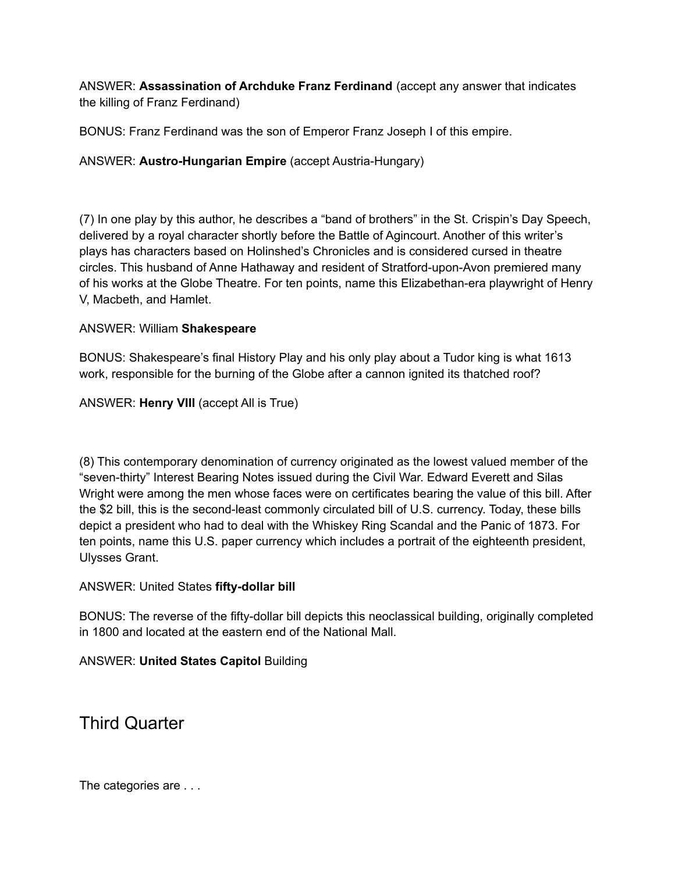ANSWER: **Assassination of Archduke Franz Ferdinand** (accept any answer that indicates the killing of Franz Ferdinand)

BONUS: Franz Ferdinand was the son of Emperor Franz Joseph I of this empire.

# ANSWER: **Austro-Hungarian Empire** (accept Austria-Hungary)

(7) In one play by this author, he describes a "band of brothers" in the St. Crispin's Day Speech, delivered by a royal character shortly before the Battle of Agincourt. Another of this writer's plays has characters based on Holinshed's Chronicles and is considered cursed in theatre circles. This husband of Anne Hathaway and resident of Stratford-upon-Avon premiered many of his works at the Globe Theatre. For ten points, name this Elizabethan-era playwright of Henry V, Macbeth, and Hamlet.

#### ANSWER: William **Shakespeare**

BONUS: Shakespeare's final History Play and his only play about a Tudor king is what 1613 work, responsible for the burning of the Globe after a cannon ignited its thatched roof?

ANSWER: **Henry VIII** (accept All is True)

(8) This contemporary denomination of currency originated as the lowest valued member of the "seven-thirty" Interest Bearing Notes issued during the Civil War. Edward Everett and Silas Wright were among the men whose faces were on certificates bearing the value of this bill. After the \$2 bill, this is the second-least commonly circulated bill of U.S. currency. Today, these bills depict a president who had to deal with the Whiskey Ring Scandal and the Panic of 1873. For ten points, name this U.S. paper currency which includes a portrait of the eighteenth president, Ulysses Grant.

## ANSWER: United States **fifty-dollar bill**

BONUS: The reverse of the fifty-dollar bill depicts this neoclassical building, originally completed in 1800 and located at the eastern end of the National Mall.

## ANSWER: **United States Capitol** Building

Third Quarter

The categories are . . .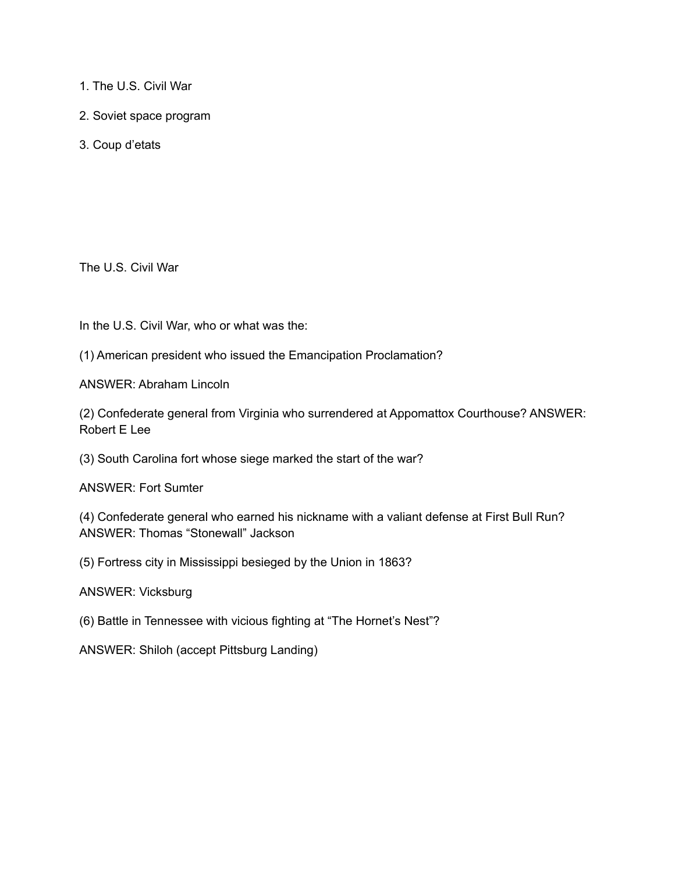- 1. The U.S. Civil War
- 2. Soviet space program
- 3. Coup d'etats

The U.S. Civil War

In the U.S. Civil War, who or what was the:

(1) American president who issued the Emancipation Proclamation?

ANSWER: Abraham Lincoln

(2) Confederate general from Virginia who surrendered at Appomattox Courthouse? ANSWER: Robert E Lee

(3) South Carolina fort whose siege marked the start of the war?

ANSWER: Fort Sumter

(4) Confederate general who earned his nickname with a valiant defense at First Bull Run? ANSWER: Thomas "Stonewall" Jackson

(5) Fortress city in Mississippi besieged by the Union in 1863?

ANSWER: Vicksburg

(6) Battle in Tennessee with vicious fighting at "The Hornet's Nest"?

ANSWER: Shiloh (accept Pittsburg Landing)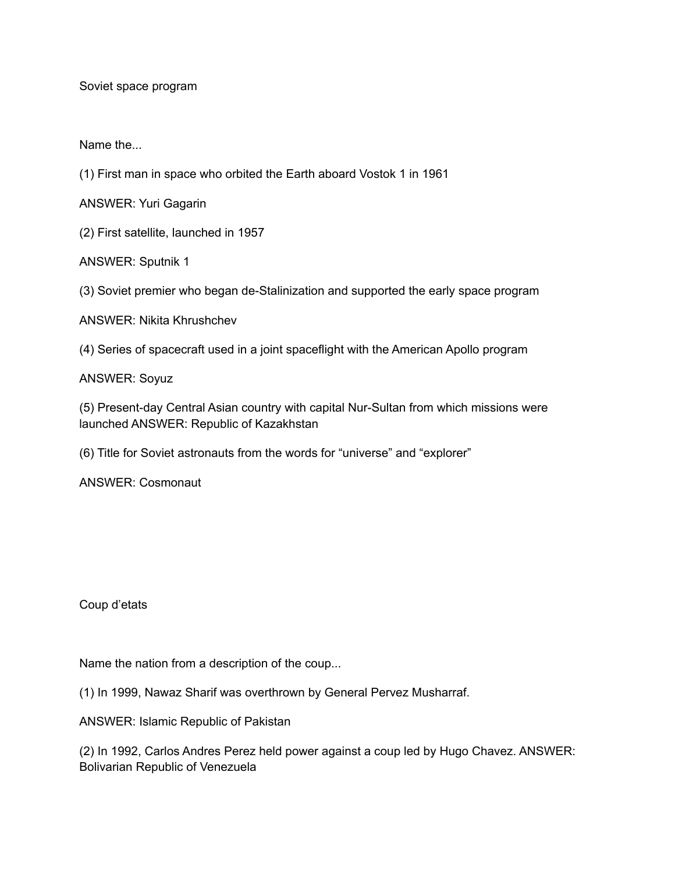Soviet space program

Name the...

(1) First man in space who orbited the Earth aboard Vostok 1 in 1961

ANSWER: Yuri Gagarin

(2) First satellite, launched in 1957

ANSWER: Sputnik 1

(3) Soviet premier who began de-Stalinization and supported the early space program

ANSWER: Nikita Khrushchev

(4) Series of spacecraft used in a joint spaceflight with the American Apollo program

ANSWER: Soyuz

(5) Present-day Central Asian country with capital Nur-Sultan from which missions were launched ANSWER: Republic of Kazakhstan

(6) Title for Soviet astronauts from the words for "universe" and "explorer"

ANSWER: Cosmonaut

Coup d'etats

Name the nation from a description of the coup...

(1) In 1999, Nawaz Sharif was overthrown by General Pervez Musharraf.

ANSWER: Islamic Republic of Pakistan

(2) In 1992, Carlos Andres Perez held power against a coup led by Hugo Chavez. ANSWER: Bolivarian Republic of Venezuela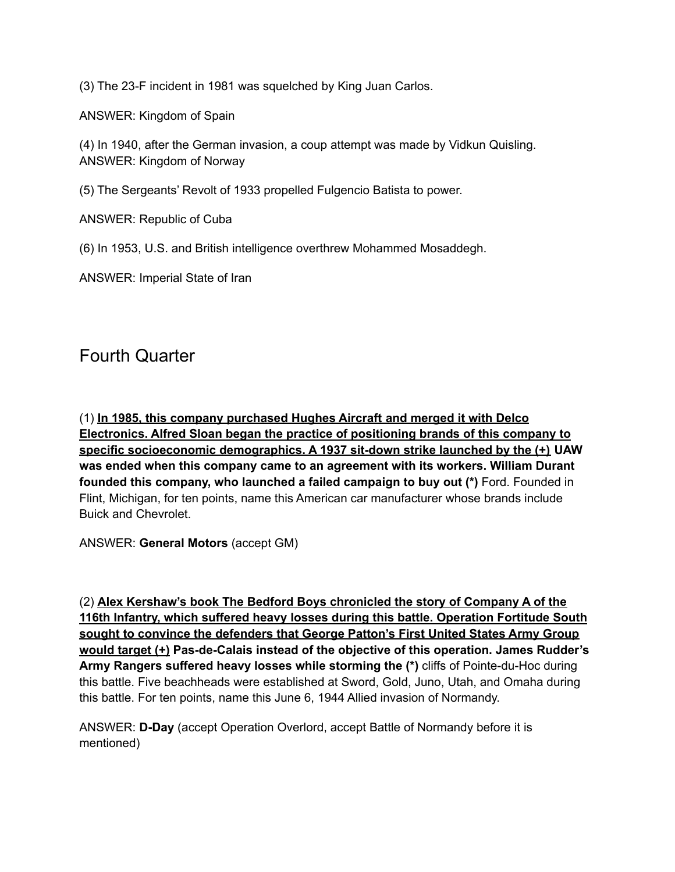(3) The 23-F incident in 1981 was squelched by King Juan Carlos.

ANSWER: Kingdom of Spain

(4) In 1940, after the German invasion, a coup attempt was made by Vidkun Quisling. ANSWER: Kingdom of Norway

(5) The Sergeants' Revolt of 1933 propelled Fulgencio Batista to power.

ANSWER: Republic of Cuba

(6) In 1953, U.S. and British intelligence overthrew Mohammed Mosaddegh.

ANSWER: Imperial State of Iran

# Fourth Quarter

(1) **In 1985, this company purchased Hughes Aircraft and merged it with Delco Electronics. Alfred Sloan began the practice of positioning brands of this company to specific socioeconomic demographics. A 1937 sit-down strike launched by the (+) UAW was ended when this company came to an agreement with its workers. William Durant founded this company, who launched a failed campaign to buy out (\*)** Ford. Founded in Flint, Michigan, for ten points, name this American car manufacturer whose brands include Buick and Chevrolet.

ANSWER: **General Motors** (accept GM)

(2) **Alex Kershaw's book The Bedford Boys chronicled the story of Company A of the 116th Infantry, which suffered heavy losses during this battle. Operation Fortitude South sought to convince the defenders that George Patton's First United States Army Group would target (+) Pas-de-Calais instead of the objective of this operation. James Rudder's Army Rangers suffered heavy losses while storming the (\*)** cliffs of Pointe-du-Hoc during this battle. Five beachheads were established at Sword, Gold, Juno, Utah, and Omaha during this battle. For ten points, name this June 6, 1944 Allied invasion of Normandy.

ANSWER: **D-Day** (accept Operation Overlord, accept Battle of Normandy before it is mentioned)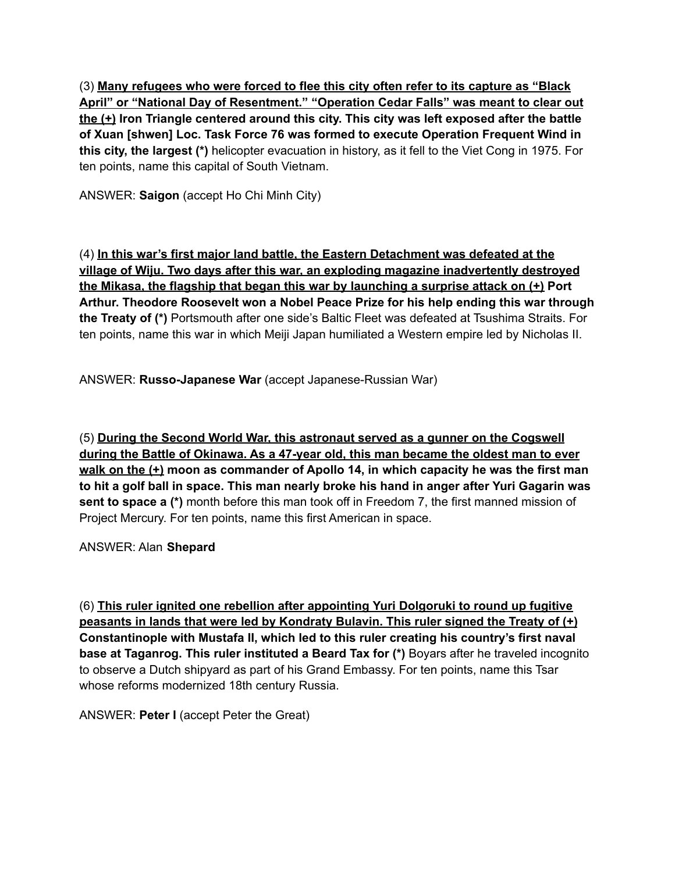(3) **Many refugees who were forced to flee this city often refer to its capture as "Black April" or "National Day of Resentment." "Operation Cedar Falls" was meant to clear out the (+) Iron Triangle centered around this city. This city was left exposed after the battle of Xuan [shwen] Loc. Task Force 76 was formed to execute Operation Frequent Wind in this city, the largest (\*)** helicopter evacuation in history, as it fell to the Viet Cong in 1975. For ten points, name this capital of South Vietnam.

ANSWER: **Saigon** (accept Ho Chi Minh City)

(4) **In this war's first major land battle, the Eastern Detachment was defeated at the village of Wiju. Two days after this war, an exploding magazine inadvertently destroyed the Mikasa, the flagship that began this war by launching a surprise attack on (+) Port Arthur. Theodore Roosevelt won a Nobel Peace Prize for his help ending this war through the Treaty of (\*)** Portsmouth after one side's Baltic Fleet was defeated at Tsushima Straits. For ten points, name this war in which Meiji Japan humiliated a Western empire led by Nicholas II.

ANSWER: **Russo-Japanese War** (accept Japanese-Russian War)

(5) **During the Second World War, this astronaut served as a gunner on the Cogswell during the Battle of Okinawa. As a 47-year old, this man became the oldest man to ever walk on the (+) moon as commander of Apollo 14, in which capacity he was the first man to hit a golf ball in space. This man nearly broke his hand in anger after Yuri Gagarin was sent to space a (\*)** month before this man took off in Freedom 7, the first manned mission of Project Mercury. For ten points, name this first American in space.

ANSWER: Alan **Shepard**

(6) **This ruler ignited one rebellion after appointing Yuri Dolgoruki to round up fugitive peasants in lands that were led by Kondraty Bulavin. This ruler signed the Treaty of (+) Constantinople with Mustafa II, which led to this ruler creating his country's first naval base at Taganrog. This ruler instituted a Beard Tax for (\*)** Boyars after he traveled incognito to observe a Dutch shipyard as part of his Grand Embassy. For ten points, name this Tsar whose reforms modernized 18th century Russia.

ANSWER: **Peter I** (accept Peter the Great)